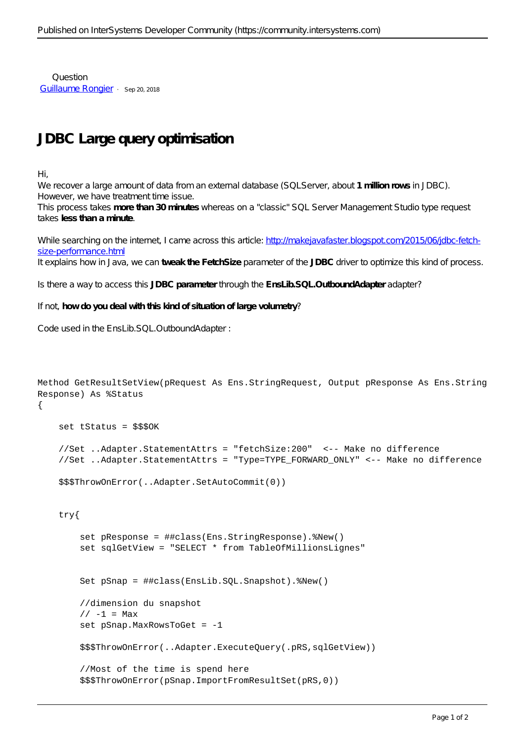Question [Guillaume Rongier](https://community.intersystems.com/user/guillaume-rongier-1) · Sep 20, 2018

## **JDBC Large query optimisation**

Hi,

We recover a large amount of data from an external database (SQLServer, about **1 million rows** in JDBC). However, we have treatment time issue.

This process takes **more than 30 minutes** whereas on a "classic" SQL Server Management Studio type request takes **less than a minute**.

While searching on the internet, I came across this article: http://makejavafaster.blogspot.com/2015/06/dbc-fetch[size-performance.html](http://makejavafaster.blogspot.com/2015/06/jdbc-fetch-size-performance.html)

It explains how in Java, we can **tweak the FetchSize** parameter of the **JDBC** driver to optimize this kind of process.

Is there a way to access this **JDBC parameter** through the **EnsLib.SQL.OutboundAdapter** adapter?

If not, **how do you deal with this kind of situation of large volumetry**?

```
Code used in the EnsLib.SQL.OutboundAdapter :
```

```
Method GetResultSetView(pRequest As Ens.StringRequest, Output pResponse As Ens.String
Response) As %Status
{
     set tStatus = $$$OK
     //Set ..Adapter.StatementAttrs = "fetchSize:200" <-- Make no difference
     //Set ..Adapter.StatementAttrs = "Type=TYPE_FORWARD_ONLY" <-- Make no difference
     $$$ThrowOnError(..Adapter.SetAutoCommit(0))
     try{
         set pResponse = ##class(Ens.StringResponse).%New()
         set sqlGetView = "SELECT * from TableOfMillionsLignes"
         Set pSnap = ##class(EnsLib.SQL.Snapshot).%New()
         //dimension du snapshot
        // -1 = Maxset pSnap.MaxRowsToGet = -1 $$$ThrowOnError(..Adapter.ExecuteQuery(.pRS,sqlGetView)) 
         //Most of the time is spend here
         $$$ThrowOnError(pSnap.ImportFromResultSet(pRS,0))
```